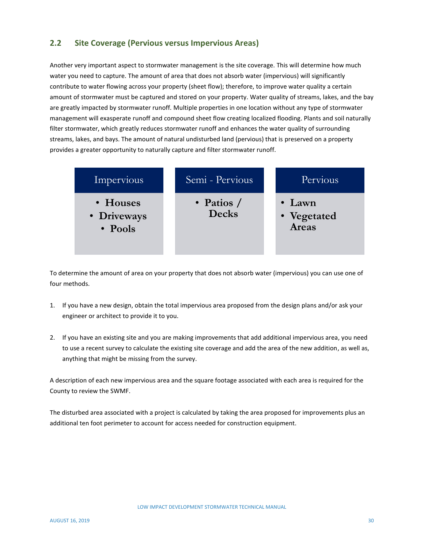## **2.2 Site Coverage (Pervious versus Impervious Areas)**

Another very important aspect to stormwater management is the site coverage. This will determine how much water you need to capture. The amount of area that does not absorb water (impervious) will significantly contribute to water flowing across your property (sheet flow); therefore, to improve water quality a certain amount of stormwater must be captured and stored on your property. Water quality of streams, lakes, and the bay are greatly impacted by stormwater runoff. Multiple properties in one location without any type of stormwater management will exasperate runoff and compound sheet flow creating localized flooding. Plants and soil naturally filter stormwater, which greatly reduces stormwater runoff and enhances the water quality of surrounding streams, lakes, and bays. The amount of natural undisturbed land (pervious) that is preserved on a property provides a greater opportunity to naturally capture and filter stormwater runoff.

| Impervious                         | Semi - Pervious              | Pervious                               |
|------------------------------------|------------------------------|----------------------------------------|
| • Houses<br>• Driveways<br>• Pools | • Patios $/$<br><b>Decks</b> | $\bullet$ Lawn<br>• Vegetated<br>Areas |

To determine the amount of area on your property that does not absorb water (impervious) you can use one of four methods.

- 1. If you have a new design, obtain the total impervious area proposed from the design plans and/or ask your engineer or architect to provide it to you.
- 2. If you have an existing site and you are making improvements that add additional impervious area, you need to use a recent survey to calculate the existing site coverage and add the area of the new addition, as well as, anything that might be missing from the survey.

A description of each new impervious area and the square footage associated with each area is required for the County to review the SWMF.

The disturbed area associated with a project is calculated by taking the area proposed for improvements plus an additional ten foot perimeter to account for access needed for construction equipment.

LOW IMPACT DEVELOPMENT STORMWATER TECHNICAL MANUAL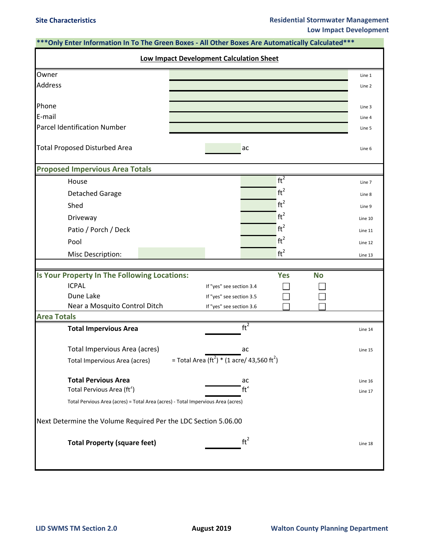| *** Only Enter Information In To The Green Boxes - All Other Boxes Are Automatically Calculated***   |         |
|------------------------------------------------------------------------------------------------------|---------|
| <b>Low Impact Development Calculation Sheet</b>                                                      |         |
| Owner                                                                                                | Line 1  |
| <b>Address</b>                                                                                       | Line 2  |
|                                                                                                      |         |
| Phone                                                                                                | Line 3  |
| E-mail                                                                                               | Line 4  |
| <b>Parcel Identification Number</b>                                                                  | Line 5  |
| <b>Total Proposed Disturbed Area</b><br>ac                                                           | Line 6  |
| <b>Proposed Impervious Area Totals</b>                                                               |         |
| ft <sup>2</sup><br>House                                                                             | Line 7  |
| ft <sup>2</sup><br><b>Detached Garage</b>                                                            | Line 8  |
| $ft^2$<br>Shed                                                                                       | Line 9  |
| ft <sup>2</sup><br>Driveway                                                                          | Line 10 |
| ft <sup>2</sup><br>Patio / Porch / Deck                                                              | Line 11 |
| ft <sup>2</sup><br>Pool                                                                              | Line 12 |
| $ft^2$<br>Misc Description:                                                                          | Line 13 |
|                                                                                                      |         |
| Is Your Property In The Following Locations:<br><b>Yes</b><br><b>No</b>                              |         |
| <b>ICPAL</b><br>If "yes" see section 3.4                                                             |         |
| Dune Lake<br>If "yes" see section 3.5                                                                |         |
| Near a Mosquito Control Ditch<br>If "yes" see section 3.6                                            |         |
| <b>Area Totals</b>                                                                                   |         |
| ft <sup>2</sup><br><b>Total Impervious Area</b>                                                      | Line 14 |
| Total Impervious Area (acres)<br>ac                                                                  | Line 15 |
| = Total Area (ft <sup>2</sup> ) * (1 acre/ 43,560 ft <sup>2</sup> )<br>Total Impervious Area (acres) |         |
| <b>Total Pervious Area</b><br>ac                                                                     | Line 16 |
| ft <sup>2</sup><br>Total Pervious Area (ft <sup>2</sup> )                                            | Line 17 |
| Total Pervious Area (acres) = Total Area (acres) - Total Impervious Area (acres)                     |         |
| Next Determine the Volume Required Per the LDC Section 5.06.00                                       |         |
| ft <sup>2</sup><br><b>Total Property (square feet)</b>                                               | Line 18 |
|                                                                                                      |         |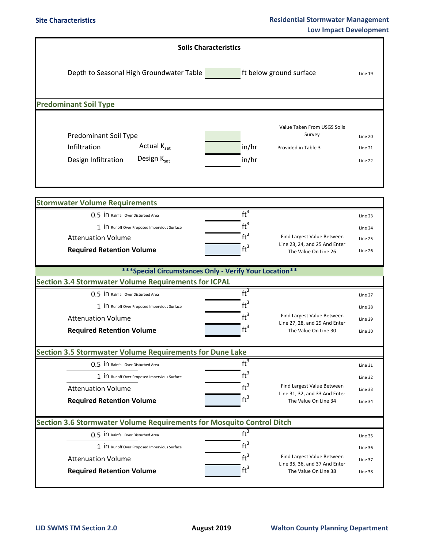|  |                                                                           | <b>Soils Characteristics</b> |                     |                                                       |         |  |
|--|---------------------------------------------------------------------------|------------------------------|---------------------|-------------------------------------------------------|---------|--|
|  | Depth to Seasonal High Groundwater Table<br>ft below ground surface       |                              |                     |                                                       |         |  |
|  |                                                                           |                              |                     |                                                       |         |  |
|  | <b>Predominant Soil Type</b>                                              |                              |                     |                                                       |         |  |
|  |                                                                           |                              |                     |                                                       |         |  |
|  | Predominant Soil Type                                                     |                              |                     | Value Taken From USGS Soils<br>Survey                 | Line 20 |  |
|  | Actual Ksat<br>Infiltration                                               | in/hr                        | Provided in Table 3 |                                                       | Line 21 |  |
|  | Design Ksat<br>Design Infiltration                                        | in/hr                        |                     |                                                       |         |  |
|  |                                                                           |                              |                     |                                                       | Line 22 |  |
|  |                                                                           |                              |                     |                                                       |         |  |
|  |                                                                           |                              |                     |                                                       |         |  |
|  | <b>Stormwater Volume Requirements</b>                                     | $ft^3$                       |                     |                                                       |         |  |
|  | 0.5 IN Rainfall Over Disturbed Area                                       | $\mathrm{ft}^3$              |                     |                                                       | Line 23 |  |
|  | 1 IN Runoff Over Proposed Impervious Surface<br><b>Attenuation Volume</b> | $ft^3$                       |                     | Find Largest Value Between                            | Line 24 |  |
|  |                                                                           | ft <sup>3</sup>              |                     | Line 23, 24, and 25 And Enter                         | Line 25 |  |
|  | <b>Required Retention Volume</b>                                          |                              |                     | The Value On Line 26                                  | Line 26 |  |
|  |                                                                           |                              |                     |                                                       |         |  |
|  | *** Special Circumstances Only - Verify Your Location**                   |                              |                     |                                                       |         |  |
|  | <b>Section 3.4 Stormwater Volume Requirements for ICPAL</b>               |                              |                     |                                                       |         |  |
|  | 0.5 IN Rainfall Over Disturbed Area                                       | $ft^3$                       |                     |                                                       | Line 27 |  |
|  | 1 in Runoff Over Proposed Impervious Surface                              | $ft^3$                       |                     |                                                       | Line 28 |  |
|  | <b>Attenuation Volume</b>                                                 | $ft^3$                       |                     | Find Largest Value Between                            | Line 29 |  |
|  | <b>Required Retention Volume</b>                                          | ft <sup>3</sup>              |                     | Line 27, 28, and 29 And Enter<br>The Value On Line 30 | Line 30 |  |
|  |                                                                           |                              |                     |                                                       |         |  |
|  | <b>Section 3.5 Stormwater Volume Requirements for Dune Lake</b>           |                              |                     |                                                       |         |  |
|  | 0.5 IN Rainfall Over Disturbed Area                                       | $ft^3$                       |                     |                                                       | Line 31 |  |
|  | 1 IN Runoff Over Proposed Impervious Surface                              | $ft^3$                       |                     | Find Largest Value Between                            | Line 32 |  |
|  | <b>Attenuation Volume</b>                                                 | $ft^3$                       |                     | Line 31, 32, and 33 And Enter                         | Line 33 |  |
|  | <b>Required Retention Volume</b>                                          | ft <sup>3</sup>              |                     | The Value On Line 34                                  | Line 34 |  |
|  | Section 3.6 Stormwater Volume Requirements for Mosquito Control Ditch     |                              |                     |                                                       |         |  |
|  | 0.5 IN Rainfall Over Disturbed Area                                       | ft <sup>3</sup>              |                     |                                                       | Line 35 |  |
|  | 1 IN Runoff Over Proposed Impervious Surface                              | $\mathrm{ft}^3$              |                     |                                                       | Line 36 |  |
|  | <b>Attenuation Volume</b>                                                 | ft <sup>3</sup>              |                     | Find Largest Value Between                            | Line 37 |  |
|  | <b>Required Retention Volume</b>                                          | $ft^3$                       |                     | Line 35, 36, and 37 And Enter<br>The Value On Line 38 | Line 38 |  |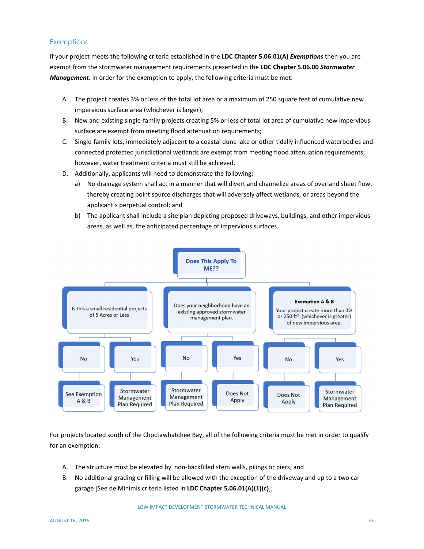## **Exemptions**

If your project meets the following criteria established in the **LDC Chapter 5.06.01(A)** *Exemptions* then you are exempt from the stormwater management requirements presented in the **LDC Chapter 5.06.00** *Stormwater Management.* In order for the exemption to apply, the following criteria must be met:

- A. The project creates 3% or less of the total lot area or a maximum of 250 square feet of cumulative new impervious surface area (whichever is larger);
- B. New and existing single‐family projects creating 5% or less of total lot area of cumulative new impervious surface are exempt from meeting flood attenuation requirements;
- C. Single‐family lots, immediately adjacent to a coastal dune lake or other tidally influenced waterbodies and connected protected jurisdictional wetlands are exempt from meeting flood attenuation requirements; however, water treatment criteria must still be achieved.
- D. Additionally, applicants will need to demonstrate the following:
	- a) No drainage system shall act in a manner that will divert and channelize areas of overland sheet flow, thereby creating point source discharges that will adversely affect wetlands, or areas beyond the applicant's perpetual control; and
	- b) The applicant shall include a site plan depicting proposed driveways, buildings, and other impervious areas, as well as, the anticipated percentage of impervious surfaces.



For projects located south of the Choctawhatchee Bay, all of the following criteria must be met in order to qualify for an exemption:

- A. The structure must be elevated by non‐backfilled stem walls, pilings or piers; and
- B. No additional grading or filling will be allowed with the exception of the driveway and up to a two car garage [See de Minimis criteria listed in **LDC Chapter 5.06.01(A)(1)(c)**];

LOW IMPACT DEVELOPMENT STORMWATER TECHNICAL MANUAL